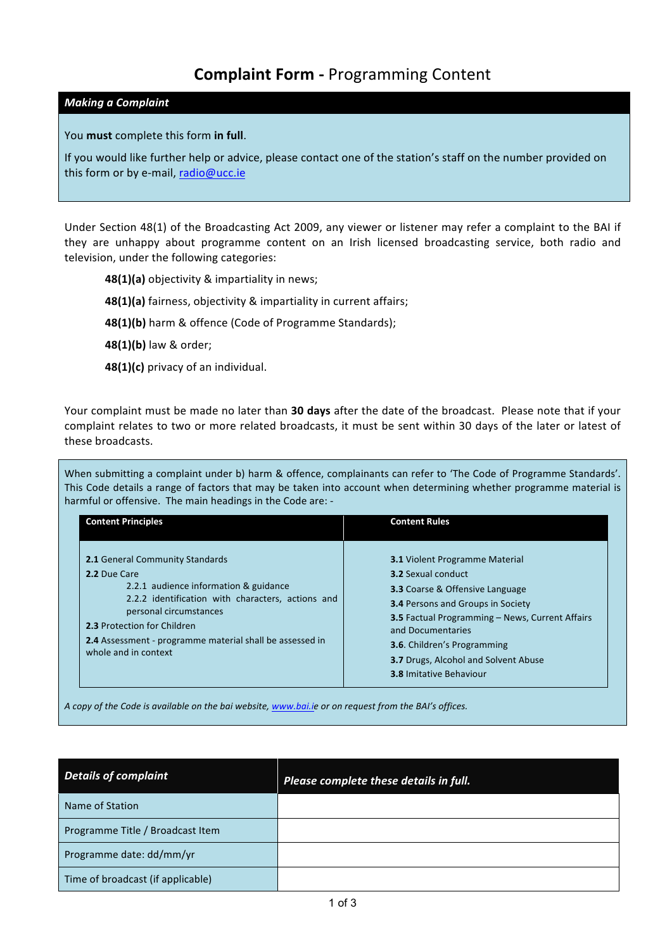# **Complaint Form - Programming Content**

# *Making a Complaint*

You **must** complete this form in full.

If you would like further help or advice, please contact one of the station's staff on the number provided on this form or by e-mail, radio@ucc.ie

Under Section 48(1) of the Broadcasting Act 2009, any viewer or listener may refer a complaint to the BAI if they are unhappy about programme content on an Irish licensed broadcasting service, both radio and television, under the following categories:

**48(1)(a)** objectivity & impartiality in news;

**48(1)(a)** fairness, objectivity & impartiality in current affairs;

**48(1)(b)** harm & offence (Code of Programme Standards);

**48(1)(b)** law & order;

48(1)(c) privacy of an individual.

Your complaint must be made no later than 30 days after the date of the broadcast. Please note that if your complaint relates to two or more related broadcasts, it must be sent within 30 days of the later or latest of these broadcasts.

When submitting a complaint under b) harm & offence, complainants can refer to 'The Code of Programme Standards'. This Code details a range of factors that may be taken into account when determining whether programme material is harmful or offensive. The main headings in the Code are: -

| <b>Content Principles</b>                                                                                                                                                                                                                                                                         | <b>Content Rules</b>                                                                                                                                                                                                                                                                                                                                         |
|---------------------------------------------------------------------------------------------------------------------------------------------------------------------------------------------------------------------------------------------------------------------------------------------------|--------------------------------------------------------------------------------------------------------------------------------------------------------------------------------------------------------------------------------------------------------------------------------------------------------------------------------------------------------------|
| <b>2.1 General Community Standards</b><br>2.2 Due Care<br>2.2.1 audience information & guidance<br>2.2.2 identification with characters, actions and<br>personal circumstances<br>2.3 Protection for Children<br>2.4 Assessment - programme material shall be assessed in<br>whole and in context | <b>3.1 Violent Programme Material</b><br><b>3.2 Sexual conduct</b><br><b>3.3 Coarse &amp; Offensive Language</b><br><b>3.4 Persons and Groups in Society</b><br>3.5 Factual Programming - News, Current Affairs<br>and Documentaries<br><b>3.6</b> . Children's Programming<br><b>3.7 Drugs, Alcohol and Solvent Abuse</b><br><b>3.8 Imitative Behaviour</b> |

*A* copy of the Code is available on the bai website, www.bai.ie or on request from the BAI's offices.

| <b>Details of complaint</b>       | Please complete these details in full. |
|-----------------------------------|----------------------------------------|
| Name of Station                   |                                        |
| Programme Title / Broadcast Item  |                                        |
| Programme date: dd/mm/yr          |                                        |
| Time of broadcast (if applicable) |                                        |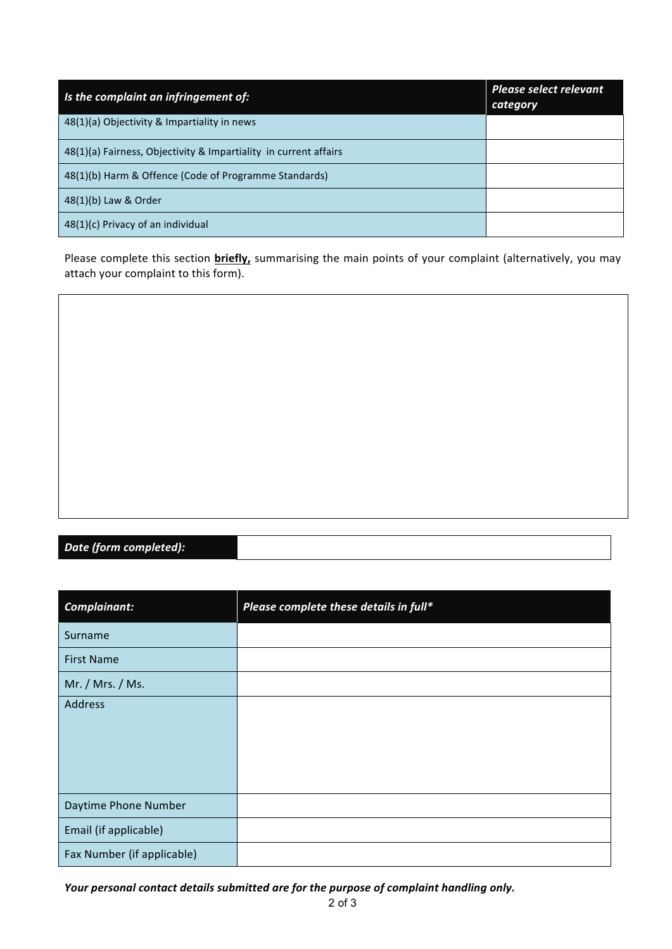| Is the complaint an infringement of:                             | <b>Please select relevant</b><br>category |
|------------------------------------------------------------------|-------------------------------------------|
| 48(1)(a) Objectivity & Impartiality in news                      |                                           |
| 48(1)(a) Fairness, Objectivity & Impartiality in current affairs |                                           |
| 48(1)(b) Harm & Offence (Code of Programme Standards)            |                                           |
| 48(1)(b) Law & Order                                             |                                           |
| 48(1)(c) Privacy of an individual                                |                                           |

Please complete this section **briefly**, summarising the main points of your complaint (alternatively, you may attach your complaint to this form).



*Date (form completed):*

| Complainant:               | Please complete these details in full* |
|----------------------------|----------------------------------------|
| Surname                    |                                        |
| <b>First Name</b>          |                                        |
| Mr. / Mrs. / Ms.           |                                        |
| Address                    |                                        |
|                            |                                        |
|                            |                                        |
|                            |                                        |
| Daytime Phone Number       |                                        |
| Email (if applicable)      |                                        |
| Fax Number (if applicable) |                                        |

Your personal contact details submitted are for the purpose of complaint handling only.